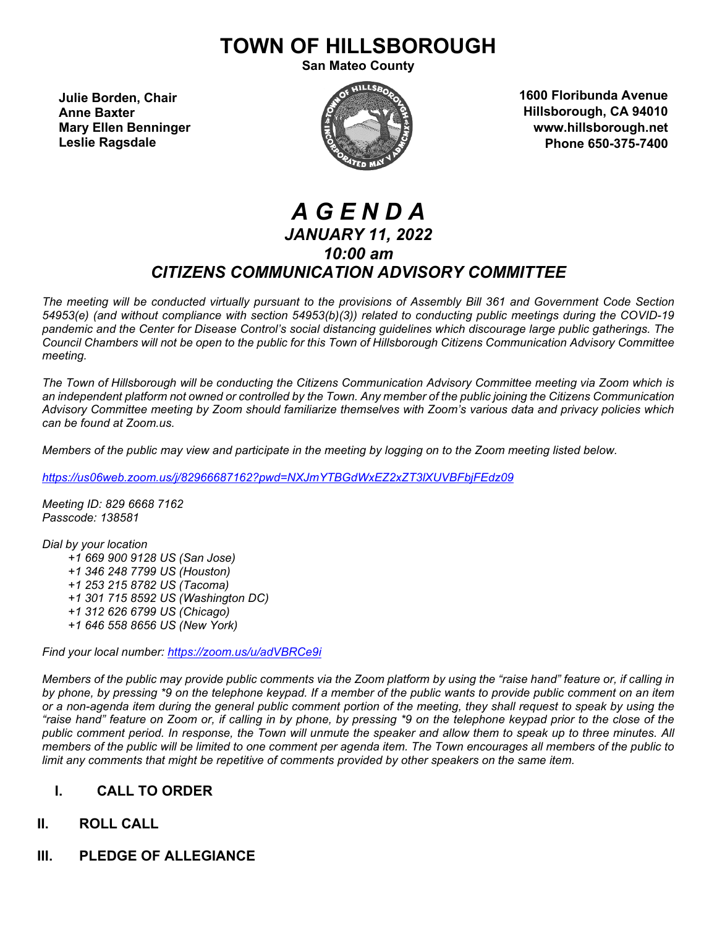# **TOWN OF HILLSBOROUGH**

**San Mateo County**

**Julie Borden, Chair Anne Baxter Mary Ellen Benninger Leslie Ragsdale**



**1600 Floribunda Avenue Hillsborough, CA 94010 www.hillsborough.net Phone 650-375-7400**

# *A G E N D A JANUARY 11, 2022 10:00 am CITIZENS COMMUNICATION ADVISORY COMMITTEE*

*The meeting will be conducted virtually pursuant to the provisions of Assembly Bill 361 and Government Code Section 54953(e) (and without compliance with section 54953(b)(3)) related to conducting public meetings during the COVID-19 pandemic and the Center for Disease Control's social distancing guidelines which discourage large public gatherings. The Council Chambers will not be open to the public for this Town of Hillsborough Citizens Communication Advisory Committee meeting.*

*The Town of Hillsborough will be conducting the Citizens Communication Advisory Committee meeting via Zoom which is an independent platform not owned or controlled by the Town. Any member of the public joining the Citizens Communication Advisory Committee meeting by Zoom should familiarize themselves with Zoom's various data and privacy policies which can be found at Zoom.us.*

*Members of the public may view and participate in the meeting by logging on to the Zoom meeting listed below.* 

*<https://us06web.zoom.us/j/82966687162?pwd=NXJmYTBGdWxEZ2xZT3lXUVBFbjFEdz09>*

*Meeting ID: 829 6668 7162 Passcode: 138581*

*Dial by your location +1 669 900 9128 US (San Jose) +1 346 248 7799 US (Houston) +1 253 215 8782 US (Tacoma) +1 301 715 8592 US (Washington DC) +1 312 626 6799 US (Chicago) +1 646 558 8656 US (New York)*

*Find your local number:<https://zoom.us/u/adVBRCe9i>*

*Members of the public may provide public comments via the Zoom platform by using the "raise hand" feature or, if calling in by phone, by pressing \*9 on the telephone keypad. If a member of the public wants to provide public comment on an item or a non-agenda item during the general public comment portion of the meeting, they shall request to speak by using the "raise hand" feature on Zoom or, if calling in by phone, by pressing \*9 on the telephone keypad prior to the close of the public comment period. In response, the Town will unmute the speaker and allow them to speak up to three minutes. All members of the public will be limited to one comment per agenda item. The Town encourages all members of the public to limit any comments that might be repetitive of comments provided by other speakers on the same item.*

# **I. CALL TO ORDER**

# **II. ROLL CALL**

**III. PLEDGE OF ALLEGIANCE**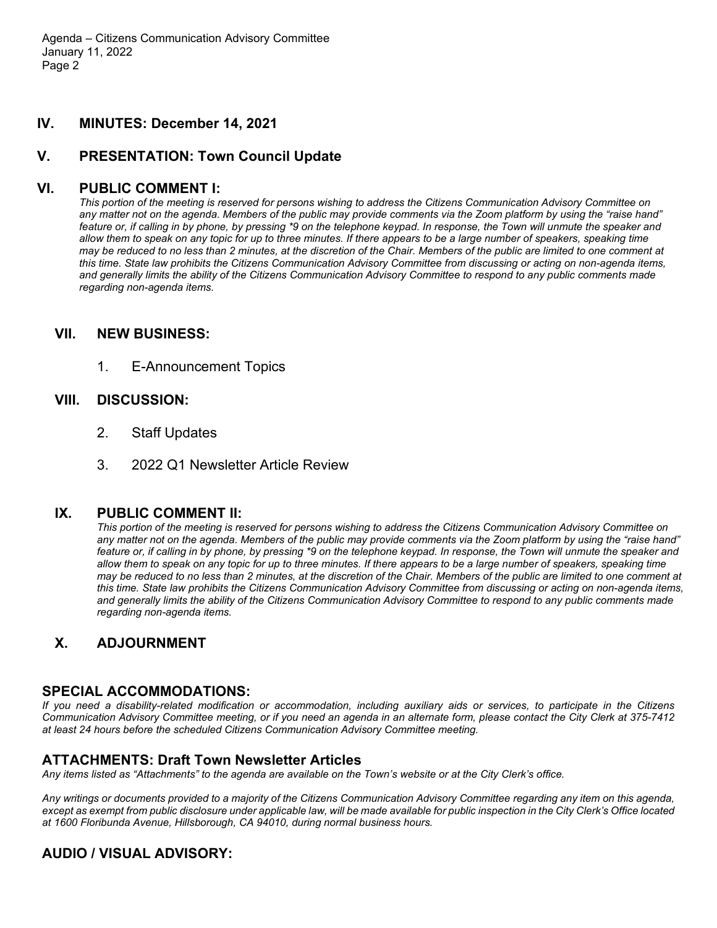Agenda – Citizens Communication Advisory Committee January 11, 2022 Page 2

## **IV. MINUTES: December 14, 2021**

## **V. PRESENTATION: Town Council Update**

#### **VI. PUBLIC COMMENT I:**

*This portion of the meeting is reserved for persons wishing to address the Citizens Communication Advisory Committee on any matter not on the agenda. Members of the public may provide comments via the Zoom platform by using the "raise hand" feature or, if calling in by phone, by pressing \*9 on the telephone keypad. In response, the Town will unmute the speaker and allow them to speak on any topic for up to three minutes. If there appears to be a large number of speakers, speaking time may be reduced to no less than 2 minutes, at the discretion of the Chair. Members of the public are limited to one comment at this time. State law prohibits the Citizens Communication Advisory Committee from discussing or acting on non-agenda items, and generally limits the ability of the Citizens Communication Advisory Committee to respond to any public comments made regarding non-agenda items.*

#### **VII. NEW BUSINESS:**

1. E-Announcement Topics

#### **VIII. DISCUSSION:**

- 2. Staff Updates
- 3. 2022 Q1 Newsletter Article Review

#### **IX. PUBLIC COMMENT II:**

*This portion of the meeting is reserved for persons wishing to address the Citizens Communication Advisory Committee on any matter not on the agenda. Members of the public may provide comments via the Zoom platform by using the "raise hand" feature or, if calling in by phone, by pressing \*9 on the telephone keypad. In response, the Town will unmute the speaker and allow them to speak on any topic for up to three minutes. If there appears to be a large number of speakers, speaking time may be reduced to no less than 2 minutes, at the discretion of the Chair. Members of the public are limited to one comment at this time. State law prohibits the Citizens Communication Advisory Committee from discussing or acting on non-agenda items, and generally limits the ability of the Citizens Communication Advisory Committee to respond to any public comments made regarding non-agenda items.*

# **X. ADJOURNMENT**

#### **SPECIAL ACCOMMODATIONS:**

*If you need a disability-related modification or accommodation, including auxiliary aids or services, to participate in the Citizens Communication Advisory Committee meeting, or if you need an agenda in an alternate form, please contact the City Clerk at 375-7412 at least 24 hours before the scheduled Citizens Communication Advisory Committee meeting.*

#### **ATTACHMENTS: Draft Town Newsletter Articles**

*Any items listed as "Attachments" to the agenda are available on the Town's website or at the City Clerk's office.*

*Any writings or documents provided to a majority of the Citizens Communication Advisory Committee regarding any item on this agenda, except as exempt from public disclosure under applicable law, will be made available for public inspection in the City Clerk's Office located at 1600 Floribunda Avenue, Hillsborough, CA 94010, during normal business hours.*

# **AUDIO / VISUAL ADVISORY:**